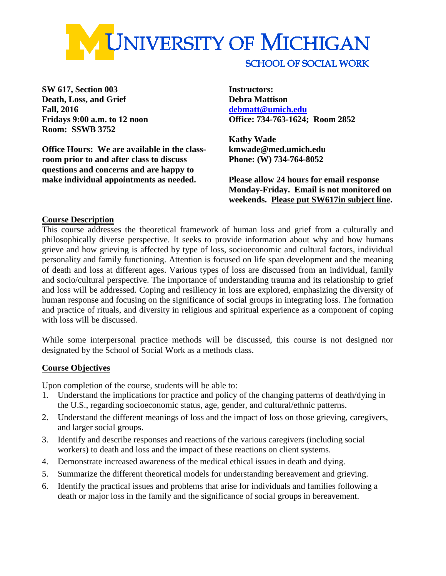

**SW 617, Section 003 Instructors: Death, Loss, and Grief Debra Mattison Fall, 2016 [debmatt@umich.edu](mailto:debmatt@umich.edu) Room: SSWB 3752**

**Office Hours: We are available in the class- kmwade@med.umich.edu room prior to and after class to discuss Phone: (W) 734-764-8052 questions and concerns and are happy to make individual appointments as needed. Please allow 24 hours for email response**

**Fridays 9:00 a.m. to 12 noon Office: 734-763-1624; Room 2852**

**Kathy Wade**

**Monday-Friday. Email is not monitored on weekends. Please put SW617in subject line.**

## **Course Description**

This course addresses the theoretical framework of human loss and grief from a culturally and philosophically diverse perspective. It seeks to provide information about why and how humans grieve and how grieving is affected by type of loss, socioeconomic and cultural factors, individual personality and family functioning. Attention is focused on life span development and the meaning of death and loss at different ages. Various types of loss are discussed from an individual, family and socio/cultural perspective. The importance of understanding trauma and its relationship to grief and loss will be addressed. Coping and resiliency in loss are explored, emphasizing the diversity of human response and focusing on the significance of social groups in integrating loss. The formation and practice of rituals, and diversity in religious and spiritual experience as a component of coping with loss will be discussed.

While some interpersonal practice methods will be discussed, this course is not designed nor designated by the School of Social Work as a methods class.

## **Course Objectives**

Upon completion of the course, students will be able to:

- 1. Understand the implications for practice and policy of the changing patterns of death/dying in the U.S., regarding socioeconomic status, age, gender, and cultural/ethnic patterns.
- 2. Understand the different meanings of loss and the impact of loss on those grieving, caregivers, and larger social groups.
- 3. Identify and describe responses and reactions of the various caregivers (including social workers) to death and loss and the impact of these reactions on client systems.
- 4. Demonstrate increased awareness of the medical ethical issues in death and dying.
- 5. Summarize the different theoretical models for understanding bereavement and grieving.
- 6. Identify the practical issues and problems that arise for individuals and families following a death or major loss in the family and the significance of social groups in bereavement.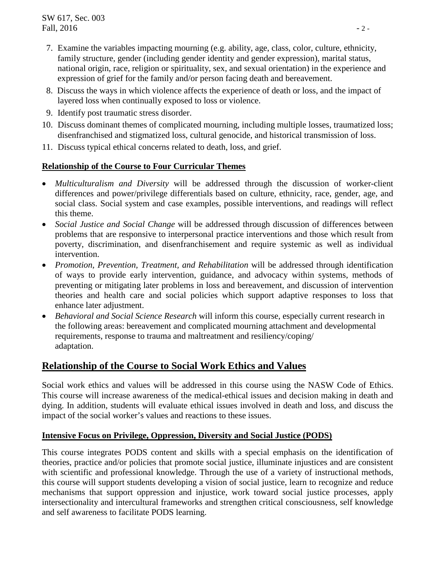- 7. Examine the variables impacting mourning (e.g. ability, age, class, color, culture, ethnicity, family structure, gender (including gender identity and gender expression), marital status, national origin, race, religion or spirituality, sex, and sexual orientation) in the experience and expression of grief for the family and/or person facing death and bereavement.
- 8. Discuss the ways in which violence affects the experience of death or loss, and the impact of layered loss when continually exposed to loss or violence.
- 9. Identify post traumatic stress disorder.
- 10. Discuss dominant themes of complicated mourning, including multiple losses, traumatized loss; disenfranchised and stigmatized loss, cultural genocide, and historical transmission of loss.
- 11. Discuss typical ethical concerns related to death, loss, and grief.

## **Relationship of the Course to Four Curricular Themes**

- *Multiculturalism and Diversity* will be addressed through the discussion of worker-client differences and power/privilege differentials based on culture, ethnicity, race, gender, age, and social class. Social system and case examples, possible interventions, and readings will reflect this theme.
- *Social Justice and Social Change* will be addressed through discussion of differences between problems that are responsive to interpersonal practice interventions and those which result from poverty, discrimination, and disenfranchisement and require systemic as well as individual intervention.
- *Promotion, Prevention, Treatment, and Rehabilitation* will be addressed through identification of ways to provide early intervention, guidance, and advocacy within systems, methods of preventing or mitigating later problems in loss and bereavement, and discussion of intervention theories and health care and social policies which support adaptive responses to loss that enhance later adjustment.
- *Behavioral and Social Science Research* will inform this course, especially current research in the following areas: bereavement and complicated mourning attachment and developmental requirements, response to trauma and maltreatment and resiliency/coping/ adaptation.

## **Relationship of the Course to Social Work Ethics and Values**

Social work ethics and values will be addressed in this course using the NASW Code of Ethics. This course will increase awareness of the medical-ethical issues and decision making in death and dying. In addition, students will evaluate ethical issues involved in death and loss, and discuss the impact of the social worker's values and reactions to these issues.

## **Intensive Focus on Privilege, Oppression, Diversity and Social Justice (PODS)**

This course integrates PODS content and skills with a special emphasis on the identification of theories, practice and/or policies that promote social justice, illuminate injustices and are consistent with scientific and professional knowledge. Through the use of a variety of instructional methods, this course will support students developing a vision of social justice, learn to recognize and reduce mechanisms that support oppression and injustice, work toward social justice processes, apply intersectionality and intercultural frameworks and strengthen critical consciousness, self knowledge and self awareness to facilitate PODS learning.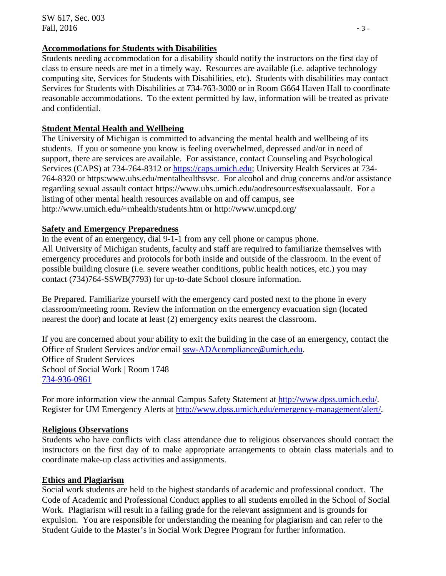## **Accommodations for Students with Disabilities**

Students needing accommodation for a disability should notify the instructors on the first day of class to ensure needs are met in a timely way. Resources are available (i.e. adaptive technology computing site, Services for Students with Disabilities, etc). Students with disabilities may contact Services for Students with Disabilities at 734-763-3000 or in Room G664 Haven Hall to coordinate reasonable accommodations. To the extent permitted by law, information will be treated as private and confidential.

## **Student Mental Health and Wellbeing**

The University of Michigan is committed to advancing the mental health and wellbeing of its students. If you or someone you know is feeling overwhelmed, depressed and/or in need of support, there are services are available. For assistance, contact Counseling and Psychological Services (CAPS) at 734-764-8312 or [https://caps.umich.edu;](https://caps.umich.edu/) University Health Services at 734- 764-8320 or https:www.uhs.edu/mentalhealthsvsc. For alcohol and drug concerns and/or assistance regarding sexual assault contact https://www.uhs.umich.edu/aodresources#sexualassault. For a listing of other mental health resources available on and off campus, see [http://www.umich.edu/~mhealth/students.htm](http://www.umich.edu/%7Emhealth/students.htm) or<http://www.umcpd.org/>

## **Safety and Emergency Preparedness**

In the event of an emergency, dial 9-1-1 from any cell phone or campus phone. All University of Michigan students, faculty and staff are required to familiarize themselves with emergency procedures and protocols for both inside and outside of the classroom. In the event of possible building closure (i.e. severe weather conditions, public health notices, etc.) you may contact (734)764-SSWB(7793) for up-to-date School closure information.

Be Prepared. Familiarize yourself with the emergency card posted next to the phone in every classroom/meeting room. Review the information on the emergency evacuation sign (located nearest the door) and locate at least (2) emergency exits nearest the classroom.

If you are concerned about your ability to exit the building in the case of an emergency, contact the Office of Student Services and/or email [ssw-ADAcompliance@umich.edu.](mailto:ssw-ADAcompliance@umich.edu) Office of Student Services School of Social Work | Room 1748 [734-936-0961](tel:734-936-0961)

For more information view the annual Campus Safety Statement at  $\frac{http://www.dpss.umich.edu/}{http://www.dpss.umich.edu/}.$ Register for UM Emergency Alerts at [http://www.dpss.umich.edu/emergency-management/alert/.](http://www.dpss.umich.edu/emergency-management/alert/)

## **Religious Observations**

Students who have conflicts with class attendance due to religious observances should contact the instructors on the first day of to make appropriate arrangements to obtain class materials and to coordinate make-up class activities and assignments.

## **Ethics and Plagiarism**

Social work students are held to the highest standards of academic and professional conduct. The Code of Academic and Professional Conduct applies to all students enrolled in the School of Social Work. Plagiarism will result in a failing grade for the relevant assignment and is grounds for expulsion. You are responsible for understanding the meaning for plagiarism and can refer to the Student Guide to the Master's in Social Work Degree Program for further information.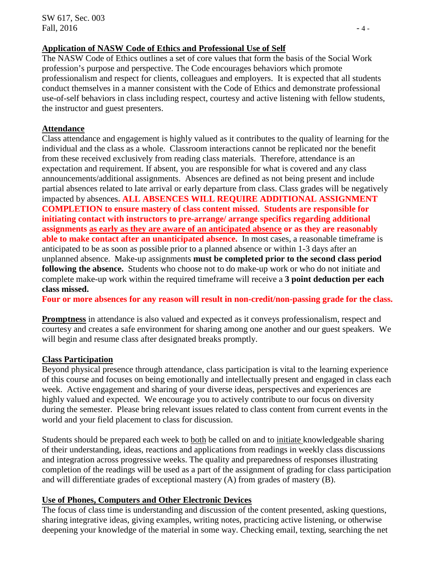## **Application of NASW Code of Ethics and Professional Use of Self**

The NASW Code of Ethics outlines a set of core values that form the basis of the Social Work profession's purpose and perspective. The Code encourages behaviors which promote professionalism and respect for clients, colleagues and employers. It is expected that all students conduct themselves in a manner consistent with the Code of Ethics and demonstrate professional use-of-self behaviors in class including respect, courtesy and active listening with fellow students, the instructor and guest presenters.

## **Attendance**

Class attendance and engagement is highly valued as it contributes to the quality of learning for the individual and the class as a whole. Classroom interactions cannot be replicated nor the benefit from these received exclusively from reading class materials. Therefore, attendance is an expectation and requirement. If absent, you are responsible for what is covered and any class announcements/additional assignments. Absences are defined as not being present and include partial absences related to late arrival or early departure from class. Class grades will be negatively impacted by absences**. ALL ABSENCES WILL REQUIRE ADDITIONAL ASSIGNMENT COMPLETION to ensure mastery of class content missed**. **Students are responsible for initiating contact with instructors to pre-arrange/ arrange specifics regarding additional assignments as early as they are aware of an anticipated absence or as they are reasonably able to make contact after an unanticipated absence.** In most cases, a reasonable timeframe is anticipated to be as soon as possible prior to a planned absence or within 1-3 days after an unplanned absence. Make-up assignments **must be completed prior to the second class period following the absence.** Students who choose not to do make-up work or who do not initiate and complete make-up work within the required timeframe will receive a **3 point deduction per each class missed.** 

**Four or more absences for any reason will result in non-credit/non-passing grade for the class.** 

**Promptness** in attendance is also valued and expected as it conveys professionalism, respect and courtesy and creates a safe environment for sharing among one another and our guest speakers. We will begin and resume class after designated breaks promptly.

## **Class Participation**

Beyond physical presence through attendance, class participation is vital to the learning experience of this course and focuses on being emotionally and intellectually present and engaged in class each week. Active engagement and sharing of your diverse ideas, perspectives and experiences are highly valued and expected. We encourage you to actively contribute to our focus on diversity during the semester. Please bring relevant issues related to class content from current events in the world and your field placement to class for discussion.

Students should be prepared each week to both be called on and to initiate knowledgeable sharing of their understanding, ideas, reactions and applications from readings in weekly class discussions and integration across progressive weeks. The quality and preparedness of responses illustrating completion of the readings will be used as a part of the assignment of grading for class participation and will differentiate grades of exceptional mastery (A) from grades of mastery (B).

## **Use of Phones, Computers and Other Electronic Devices**

The focus of class time is understanding and discussion of the content presented, asking questions, sharing integrative ideas, giving examples, writing notes, practicing active listening, or otherwise deepening your knowledge of the material in some way. Checking email, texting, searching the net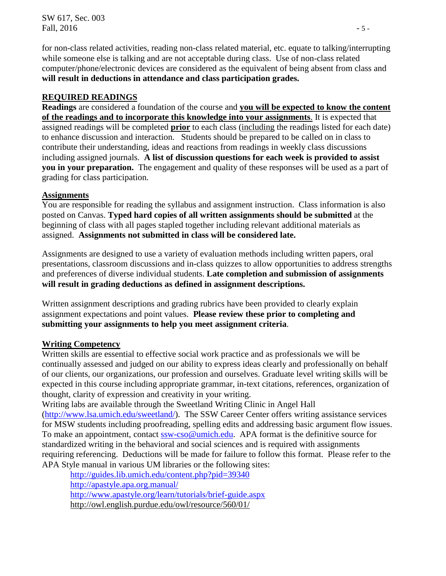for non-class related activities, reading non-class related material, etc. equate to talking/interrupting while someone else is talking and are not acceptable during class. Use of non-class related computer/phone/electronic devices are considered as the equivalent of being absent from class and **will result in deductions in attendance and class participation grades.**

## **REQUIRED READINGS**

**Readings** are considered a foundation of the course and **you will be expected to know the content of the readings and to incorporate this knowledge into your assignments**. It is expected that assigned readings will be completed **prior** to each class (including the readings listed for each date) to enhance discussion and interaction.Students should be prepared to be called on in class to contribute their understanding, ideas and reactions from readings in weekly class discussions including assigned journals. **A list of discussion questions for each week is provided to assist you in your preparation.** The engagement and quality of these responses will be used as a part of grading for class participation.

# **Assignments**

You are responsible for reading the syllabus and assignment instruction. Class information is also posted on Canvas. **Typed hard copies of all written assignments should be submitted** at the beginning of class with all pages stapled together including relevant additional materials as assigned. **Assignments not submitted in class will be considered late.**

Assignments are designed to use a variety of evaluation methods including written papers, oral presentations, classroom discussions and in-class quizzes to allow opportunities to address strengths and preferences of diverse individual students. **Late completion and submission of assignments will result in grading deductions as defined in assignment descriptions.**

Written assignment descriptions and grading rubrics have been provided to clearly explain assignment expectations and point values. **Please review these prior to completing and submitting your assignments to help you meet assignment criteria**.

## **Writing Competency**

Written skills are essential to effective social work practice and as professionals we will be continually assessed and judged on our ability to express ideas clearly and professionally on behalf of our clients, our organizations, our profession and ourselves. Graduate level writing skills will be expected in this course including appropriate grammar, in-text citations, references, organization of thought, clarity of expression and creativity in your writing.

Writing labs are available through the Sweetland Writing Clinic in Angel Hall [\(http://www.lsa.umich.edu/sweetland/\)](http://www.lsa.umich.edu/sweetland/). The SSW Career Center offers writing assistance services for MSW students including proofreading, spelling edits and addressing basic argument flow issues. To make an appointment, contact [ssw-cso@umich.edu.](mailto:ssw-cso@umich.edu) APA format is the definitive source for standardized writing in the behavioral and social sciences and is required with assignments requiring referencing. Deductions will be made for failure to follow this format. Please refer to the APA Style manual in various UM libraries or the following sites:

<http://guides.lib.umich.edu/content.php?pid=39340> <http://apastyle.apa.org.manual/> <http://www.apastyle.org/learn/tutorials/brief-guide.aspx> http://owl.english.purdue.edu/owl/resource/560/01/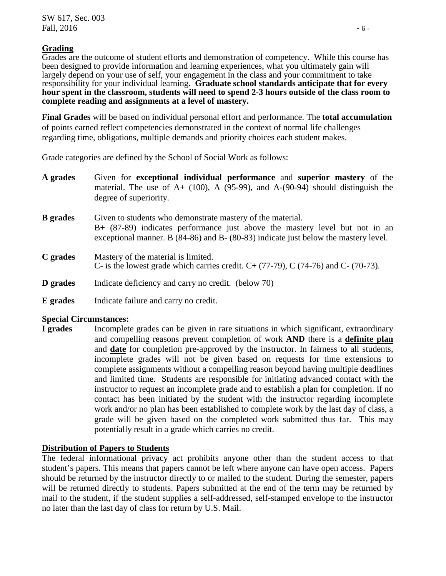#### **Grading**

Grades are the outcome of student efforts and demonstration of competency. While this course has been designed to provide information and learning experiences, what you ultimately gain will largely depend on your use of self, your engagement in the class and your commitment to take responsibility for your individual learning. **Graduate school standards anticipate that for every hour spent in the classroom, students will need to spend 2-3 hours outside of the class room to complete reading and assignments at a level of mastery.**

**Final Grades** will be based on individual personal effort and performance. The **total accumulation** of points earned reflect competencies demonstrated in the context of normal life challenges regarding time, obligations, multiple demands and priority choices each student makes.

Grade categories are defined by the School of Social Work as follows:

| A grades        | Given for exceptional individual performance and superior mastery of the<br>material. The use of $A+$ (100), A (95-99), and A-(90-94) should distinguish the<br>degree of superiority.                                             |
|-----------------|------------------------------------------------------------------------------------------------------------------------------------------------------------------------------------------------------------------------------------|
| <b>B</b> grades | Given to students who demonstrate mastery of the material.<br>$B+$ (87-89) indicates performance just above the mastery level but not in an<br>exceptional manner. B (84-86) and B- (80-83) indicate just below the mastery level. |
| C grades        | Mastery of the material is limited.<br>C- is the lowest grade which carries credit. $C+ (77-79)$ , C (74-76) and C- (70-73).                                                                                                       |
| D grades        | Indicate deficiency and carry no credit. (below 70)                                                                                                                                                                                |
| E grades        | Indicate failure and carry no credit.                                                                                                                                                                                              |

#### **Special Circumstances:**

**I grades** Incomplete grades can be given in rare situations in which significant, extraordinary and compelling reasons prevent completion of work **AND** there is a **definite plan** and **date** for completion pre-approved by the instructor. In fairness to all students, incomplete grades will not be given based on requests for time extensions to complete assignments without a compelling reason beyond having multiple deadlines and limited time. Students are responsible for initiating advanced contact with the instructor to request an incomplete grade and to establish a plan for completion. If no contact has been initiated by the student with the instructor regarding incomplete work and/or no plan has been established to complete work by the last day of class, a grade will be given based on the completed work submitted thus far. This may potentially result in a grade which carries no credit.

## **Distribution of Papers to Students**

The federal informational privacy act prohibits anyone other than the student access to that student's papers. This means that papers cannot be left where anyone can have open access. Papers should be returned by the instructor directly to or mailed to the student. During the semester, papers will be returned directly to students. Papers submitted at the end of the term may be returned by mail to the student, if the student supplies a self-addressed, self-stamped envelope to the instructor no later than the last day of class for return by U.S. Mail.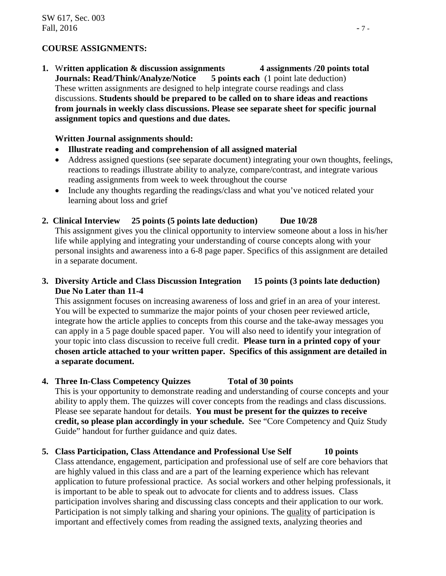## **COURSE ASSIGNMENTS:**

**1.** W**ritten application & discussion assignments 4 assignments /20 points total Journals: Read/Think/Analyze/Notice 5 points each** (1 point late deduction) These written assignments are designed to help integrate course readings and class discussions. **Students should be prepared to be called on to share ideas and reactions from journals in weekly class discussions. Please see separate sheet for specific journal assignment topics and questions and due dates.** 

#### **Written Journal assignments should:**

- **Illustrate reading and comprehension of all assigned material**
- Address assigned questions (see separate document) integrating your own thoughts, feelings, reactions to readings illustrate ability to analyze, compare/contrast, and integrate various reading assignments from week to week throughout the course
- Include any thoughts regarding the readings/class and what you've noticed related your learning about loss and grief

## **2. Clinical Interview 25 points (5 points late deduction) Due 10/28**

This assignment gives you the clinical opportunity to interview someone about a loss in his/her life while applying and integrating your understanding of course concepts along with your personal insights and awareness into a 6-8 page paper. Specifics of this assignment are detailed in a separate document.

## **3. Diversity Article and Class Discussion Integration 15 points (3 points late deduction) Due No Later than 11-4**

This assignment focuses on increasing awareness of loss and grief in an area of your interest. You will be expected to summarize the major points of your chosen peer reviewed article, integrate how the article applies to concepts from this course and the take-away messages you can apply in a 5 page double spaced paper. You will also need to identify your integration of your topic into class discussion to receive full credit. **Please turn in a printed copy of your chosen article attached to your written paper. Specifics of this assignment are detailed in a separate document.**

## **4. Three In-Class Competency Quizzes Total of 30 points**

This is your opportunity to demonstrate reading and understanding of course concepts and your ability to apply them. The quizzes will cover concepts from the readings and class discussions. Please see separate handout for details. **You must be present for the quizzes to receive credit, so please plan accordingly in your schedule.** See "Core Competency and Quiz Study Guide" handout for further guidance and quiz dates.

## **5. Class Participation, Class Attendance and Professional Use Self 10 points**

Class attendance, engagement, participation and professional use of self are core behaviors that are highly valued in this class and are a part of the learning experience which has relevant application to future professional practice. As social workers and other helping professionals, it is important to be able to speak out to advocate for clients and to address issues. Class participation involves sharing and discussing class concepts and their application to our work. Participation is not simply talking and sharing your opinions. The quality of participation is important and effectively comes from reading the assigned texts, analyzing theories and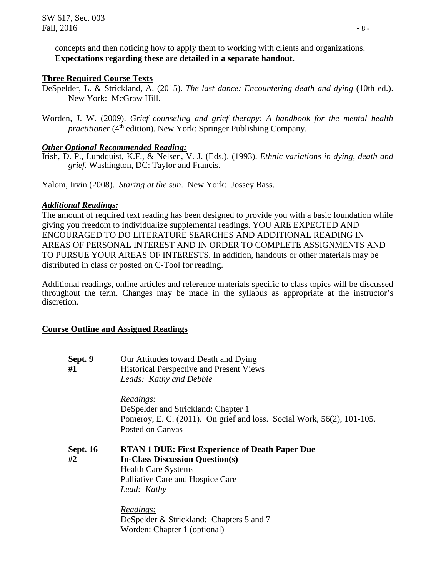concepts and then noticing how to apply them to working with clients and organizations. **Expectations regarding these are detailed in a separate handout.**

## **Three Required Course Texts**

- DeSpelder, L. & Strickland, A. (2015). *The last dance: Encountering death and dying* (10th ed.). New York: McGraw Hill.
- Worden, J. W. (2009). *Grief counseling and grief therapy: A handbook for the mental health practitioner* (4<sup>th</sup> edition). New York: Springer Publishing Company.

## *Other Optional Recommended Reading:*

Irish, D. P., Lundquist, K.F., & Nelsen, V. J. (Eds.). (1993). *Ethnic variations in dying, death and grief.* Washington, DC: Taylor and Francis.

Yalom, Irvin (2008). *Staring at the sun*. New York: Jossey Bass.

## *Additional Readings:*

The amount of required text reading has been designed to provide you with a basic foundation while giving you freedom to individualize supplemental readings. YOU ARE EXPECTED AND ENCOURAGED TO DO LITERATURE SEARCHES AND ADDITIONAL READING IN AREAS OF PERSONAL INTEREST AND IN ORDER TO COMPLETE ASSIGNMENTS AND TO PURSUE YOUR AREAS OF INTERESTS. In addition, handouts or other materials may be distributed in class or posted on C-Tool for reading.

Additional readings, online articles and reference materials specific to class topics will be discussed throughout the term. Changes may be made in the syllabus as appropriate at the instructor's discretion.

## **Course Outline and Assigned Readings**

**Sept. 9** Our Attitudes toward Death and Dying **#1** Historical Perspective and Present Views *Leads: Kathy and Debbie*

> *Readings:* DeSpelder and Strickland: Chapter 1 Pomeroy, E. C. (2011). On grief and loss. Social Work, 56(2), 101-105. Posted on Canvas

**Sept. 16 RTAN 1 DUE: First Experience of Death Paper Due #2 In-Class Discussion Question(s)** Health Care Systems Palliative Care and Hospice Care *Lead: Kathy*

> *Readings:* DeSpelder & Strickland: Chapters 5 and 7 Worden: Chapter 1 (optional)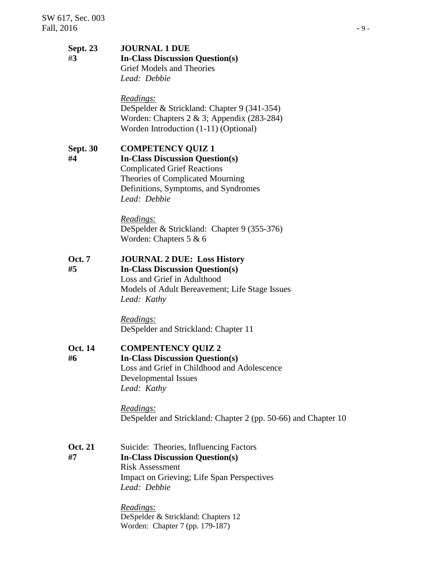#### **Sept. 23 JOURNAL 1 DUE** #**3 In-Class Discussion Question(s)** Grief Models and Theories *Lead: Debbie*

#### *Readings:*

DeSpelder & Strickland: Chapter 9 (341-354) Worden: Chapters 2 & 3; Appendix (283-284) Worden Introduction (1-11) (Optional)

**Sept. 30 COMPETENCY QUIZ 1**

**#4 In-Class Discussion Question(s)** Complicated Grief Reactions Theories of Complicated Mourning Definitions, Symptoms, and Syndromes *Lead: Debbie*

> *Readings:* DeSpelder & Strickland: Chapter 9 (355-376) Worden: Chapters 5 & 6

**Oct. 7 JOURNAL 2 DUE: Loss History #5 In-Class Discussion Question(s)** Loss and Grief in Adulthood Models of Adult Bereavement; Life Stage Issues *Lead: Kathy*

> *Readings:* DeSpelder and Strickland: Chapter 11

**Oct. 14 COMPENTENCY QUIZ 2 #6 In-Class Discussion Question(s)** Loss and Grief in Childhood and Adolescence

Developmental Issues *Lead: Kathy*

*Readings:* DeSpelder and Strickland: Chapter 2 (pp. 50-66) and Chapter 10

**Oct. 21** Suicide: Theories, Influencing Factors **#7 In-Class Discussion Question(s)** Risk Assessment Impact on Grieving; Life Span Perspectives *Lead: Debbie*

> *Readings:* DeSpelder & Strickland: Chapters 12 Worden: Chapter 7 (pp. 179-187)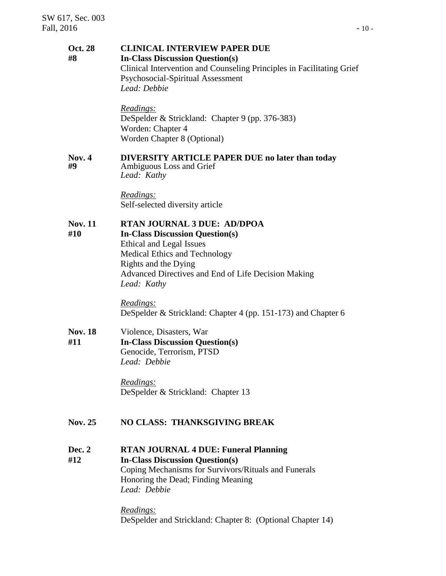#### **Oct. 28 CLINICAL INTERVIEW PAPER DUE #8 In-Class Discussion Question(s)** Clinical Intervention and Counseling Principles in Facilitating Grief Psychosocial-Spiritual Assessment *Lead: Debbie*

*Readings:* DeSpelder & Strickland: Chapter 9 (pp. 376-383) Worden: Chapter 4 Worden Chapter 8 (Optional)

# **Nov. 4 DIVERSITY ARTICLE PAPER DUE no later than today**

#### Ambiguous Loss and Grief *Lead: Kathy*

*Readings:* Self-selected diversity article

## **Nov. 11 RTAN JOURNAL 3 DUE: AD/DPOA**

**#10 In-Class Discussion Question(s)**

Ethical and Legal Issues Medical Ethics and Technology Rights and the Dying Advanced Directives and End of Life Decision Making *Lead: Kathy* 

*Readings:* DeSpelder & Strickland: Chapter 4 (pp. 151-173) and Chapter 6

Nov. 18 Violence, Disasters, War **#11 In-Class Discussion Question(s)** Genocide, Terrorism, PTSD *Lead: Debbie*

> *Readings:* DeSpelder & Strickland: Chapter 13

## **Nov. 25 NO CLASS: THANKSGIVING BREAK**

**Dec. 2 RTAN JOURNAL 4 DUE: Funeral Planning #12 In-Class Discussion Question(s)** Coping Mechanisms for Survivors/Rituals and Funerals Honoring the Dead; Finding Meaning *Lead: Debbie*

> *Readings:* DeSpelder and Strickland: Chapter 8: (Optional Chapter 14)